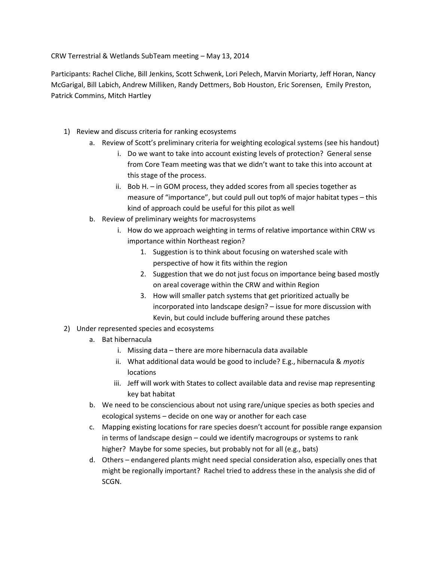CRW Terrestrial & Wetlands SubTeam meeting – May 13, 2014

Participants: Rachel Cliche, Bill Jenkins, Scott Schwenk, Lori Pelech, Marvin Moriarty, Jeff Horan, Nancy McGarigal, Bill Labich, Andrew Milliken, Randy Dettmers, Bob Houston, Eric Sorensen, Emily Preston, Patrick Commins, Mitch Hartley

- 1) Review and discuss criteria for ranking ecosystems
	- a. Review of Scott's preliminary criteria for weighting ecological systems (see his handout)
		- i. Do we want to take into account existing levels of protection? General sense from Core Team meeting was that we didn't want to take this into account at this stage of the process.
		- ii. Bob H. in GOM process, they added scores from all species together as measure of "importance", but could pull out top% of major habitat types – this kind of approach could be useful for this pilot as well
	- b. Review of preliminary weights for macrosystems
		- i. How do we approach weighting in terms of relative importance within CRW vs importance within Northeast region?
			- 1. Suggestion is to think about focusing on watershed scale with perspective of how it fits within the region
			- 2. Suggestion that we do not just focus on importance being based mostly on areal coverage within the CRW and within Region
			- 3. How will smaller patch systems that get prioritized actually be incorporated into landscape design? – issue for more discussion with Kevin, but could include buffering around these patches
- 2) Under represented species and ecosystems
	- a. Bat hibernacula
		- i. Missing data there are more hibernacula data available
		- ii. What additional data would be good to include? E.g., hibernacula & *myotis* locations
		- iii. Jeff will work with States to collect available data and revise map representing key bat habitat
	- b. We need to be consciencious about not using rare/unique species as both species and ecological systems – decide on one way or another for each case
	- c. Mapping existing locations for rare species doesn't account for possible range expansion in terms of landscape design – could we identify macrogroups or systems to rank higher? Maybe for some species, but probably not for all (e.g., bats)
	- d. Others endangered plants might need special consideration also, especially ones that might be regionally important? Rachel tried to address these in the analysis she did of SCGN.